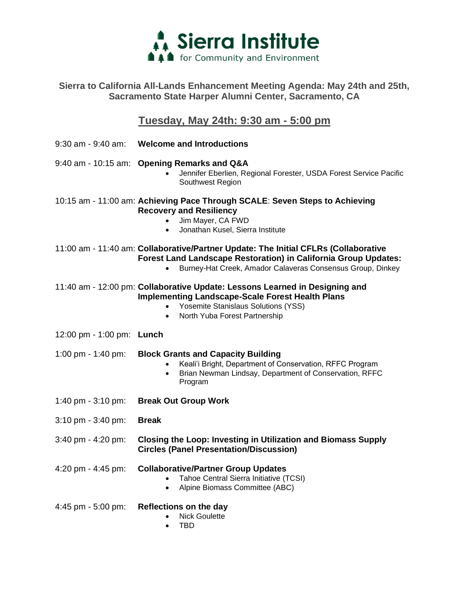

### **Sierra to California All-Lands Enhancement Meeting Agenda: May 24th and 25th, Sacramento State Harper Alumni Center, Sacramento, CA**

# **Tuesday, May 24th: 9:30 am - 5:00 pm**

|                                     | 9:30 am - 9:40 am: Welcome and Introductions                                                                                                                                                                                             |
|-------------------------------------|------------------------------------------------------------------------------------------------------------------------------------------------------------------------------------------------------------------------------------------|
|                                     | 9:40 am - 10:15 am: Opening Remarks and Q&A<br>Jennifer Eberlien, Regional Forester, USDA Forest Service Pacific<br>Southwest Region                                                                                                     |
|                                     | 10:15 am - 11:00 am: Achieving Pace Through SCALE: Seven Steps to Achieving<br><b>Recovery and Resiliency</b><br>Jim Mayer, CA FWD<br>Jonathan Kusel, Sierra Institute<br>$\bullet$                                                      |
|                                     | 11:00 am - 11:40 am: Collaborative/Partner Update: The Initial CFLRs (Collaborative<br><b>Forest Land Landscape Restoration) in California Group Updates:</b><br>Burney-Hat Creek, Amador Calaveras Consensus Group, Dinkey<br>$\bullet$ |
|                                     | 11:40 am - 12:00 pm: Collaborative Update: Lessons Learned in Designing and<br><b>Implementing Landscape-Scale Forest Health Plans</b><br>Yosemite Stanislaus Solutions (YSS)<br>North Yuba Forest Partnership<br>$\bullet$              |
| 12:00 pm - 1:00 pm: Lunch           |                                                                                                                                                                                                                                          |
| 1:00 pm - 1:40 pm:                  | <b>Block Grants and Capacity Building</b><br>Keali'i Bright, Department of Conservation, RFFC Program<br>$\bullet$<br>Brian Newman Lindsay, Department of Conservation, RFFC<br>$\bullet$<br>Program                                     |
| 1:40 pm $-3:10$ pm:                 | <b>Break Out Group Work</b>                                                                                                                                                                                                              |
| $3:10 \text{ pm} - 3:40 \text{ pm}$ | <b>Break</b>                                                                                                                                                                                                                             |
| 3:40 pm - 4:20 pm:                  | <b>Closing the Loop: Investing in Utilization and Biomass Supply</b><br><b>Circles (Panel Presentation/Discussion)</b>                                                                                                                   |
| 4:20 pm - 4:45 pm:                  | <b>Collaborative/Partner Group Updates</b><br>Tahoe Central Sierra Initiative (TCSI)<br>Alpine Biomass Committee (ABC)<br>$\bullet$                                                                                                      |
| 4:45 pm - 5:00 pm:                  | Reflections on the day<br><b>Nick Goulette</b><br>TBD<br>$\bullet$                                                                                                                                                                       |